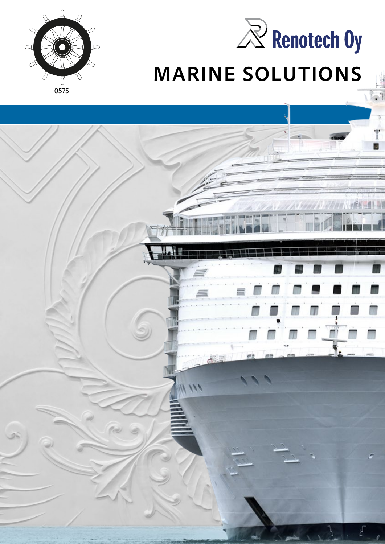



# **MARINE SOLUTIONS**

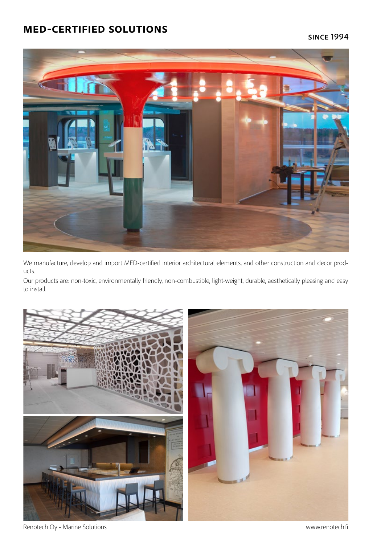#### **med-certified solutions**



We manufacture, develop and import MED-certified interior architectural elements, and other construction and decor products.

Our products are: non-toxic, environmentally friendly, non-combustible, light-weight, durable, aesthetically pleasing and easy to install.



Renotech Oy - Marine Solutions www.renotech.fi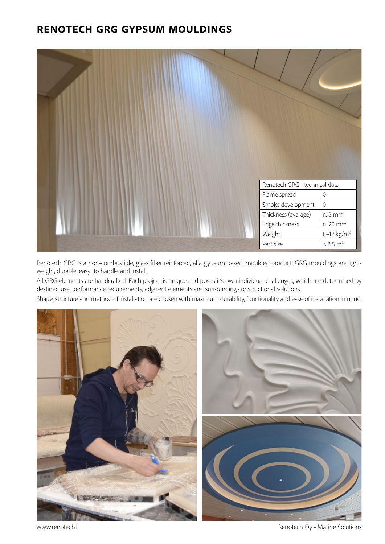#### **renotech grg gypsum mouldings**



Renotech GRG is a non-combustible, glass fiber reinforced, alfa gypsum based, moulded product. GRG mouldings are lightweight, durable, easy to handle and install.

All GRG elements are handcrafted. Each project is unique and poses it's own individual challenges, which are determined by destined use, performance requirements, adjacent elements and surrounding constructional solutions.

Shape, structure and method of installation are chosen with maximum durability, functionality and ease of installation in mind.



www.renotech.fi example of the state of the Renotech Oy - Marine Solutions